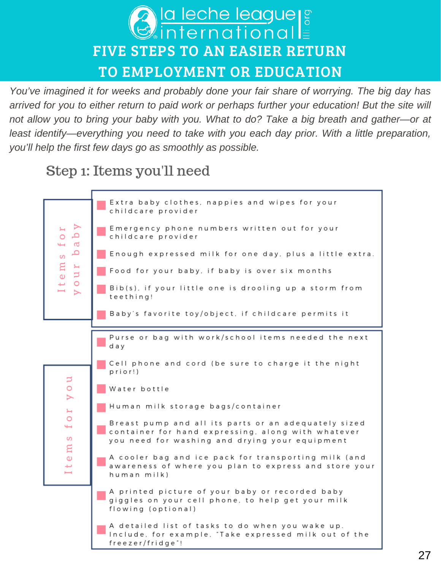

*You've imagined it for weeks and probably done your fair share of worrying. The big day has arrived for you to either return to paid work or perhaps further your education! But the site will not allow you to bring your baby with you. What to do? Take a big breath and gather—or at least identify—everything you need to take with you each day prior. With a little preparation, you'll help the first few days go as smoothly as possible.*

# Step 1: Items you'll need